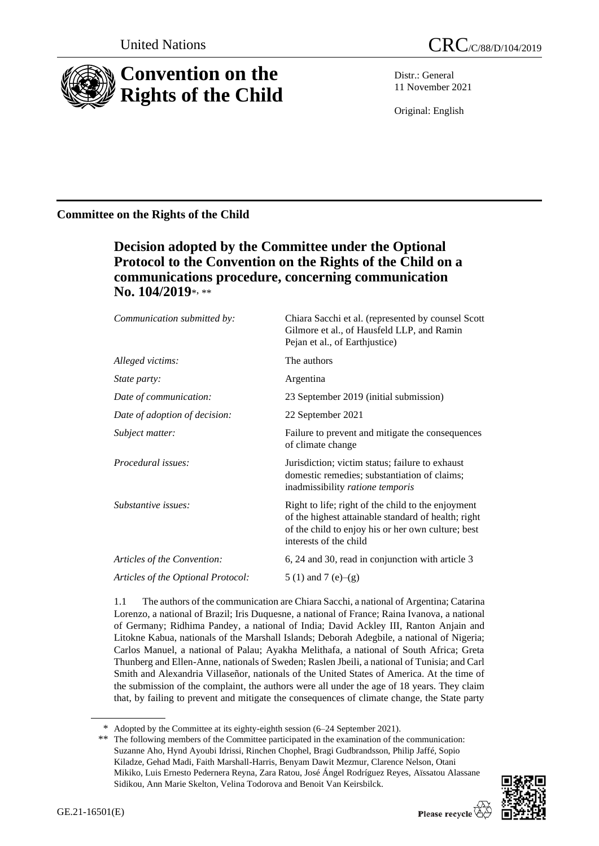

Distr.: General 11 November 2021

Original: English

# **Committee on the Rights of the Child**

# **Decision adopted by the Committee under the Optional Protocol to the Convention on the Rights of the Child on a communications procedure, concerning communication No. 104/2019**\* , \*\*

| Communication submitted by:        | Chiara Sacchi et al. (represented by counsel Scott<br>Gilmore et al., of Hausfeld LLP, and Ramin<br>Pejan et al., of Earthjustice)                                                        |
|------------------------------------|-------------------------------------------------------------------------------------------------------------------------------------------------------------------------------------------|
| Alleged victims:                   | The authors                                                                                                                                                                               |
| State party:                       | Argentina                                                                                                                                                                                 |
| Date of communication:             | 23 September 2019 (initial submission)                                                                                                                                                    |
| Date of adoption of decision:      | 22 September 2021                                                                                                                                                                         |
| Subject matter:                    | Failure to prevent and mitigate the consequences<br>of climate change                                                                                                                     |
| Procedural issues:                 | Jurisdiction; victim status; failure to exhaust<br>domestic remedies; substantiation of claims;<br>inadmissibility <i>ratione temporis</i>                                                |
| Substantive issues:                | Right to life; right of the child to the enjoyment<br>of the highest attainable standard of health; right<br>of the child to enjoy his or her own culture; best<br>interests of the child |
| Articles of the Convention:        | 6, 24 and 30, read in conjunction with article 3                                                                                                                                          |
| Articles of the Optional Protocol: | 5 (1) and 7 (e)–(g)                                                                                                                                                                       |

1.1 The authors of the communication are Chiara Sacchi, a national of Argentina; Catarina Lorenzo, a national of Brazil; Iris Duquesne, a national of France; Raina Ivanova, a national of Germany; Ridhima Pandey, a national of India; David Ackley III, Ranton Anjain and Litokne Kabua, nationals of the Marshall Islands; Deborah Adegbile, a national of Nigeria; Carlos Manuel, a national of Palau; Ayakha Melithafa, a national of South Africa; Greta Thunberg and Ellen-Anne, nationals of Sweden; Raslen Jbeili, a national of Tunisia; and Carl Smith and Alexandria Villaseñor, nationals of the United States of America. At the time of the submission of the complaint, the authors were all under the age of 18 years. They claim that, by failing to prevent and mitigate the consequences of climate change, the State party

<sup>\*\*</sup> The following members of the Committee participated in the examination of the communication: Suzanne Aho, Hynd Ayoubi Idrissi, Rinchen Chophel, Bragi Gudbrandsson, Philip Jaffé, Sopio Kiladze, Gehad Madi, Faith Marshall-Harris, Benyam Dawit Mezmur, Clarence Nelson, Otani Mikiko, Luis Ernesto Pedernera Reyna, Zara Ratou, José Ángel Rodríguez Reyes, [Aïssatou Alassane](https://www.ohchr.org/Documents/HRBodies/CRC/CVMembers/CV_AissatouSidikou.docx)  [Sidikou,](https://www.ohchr.org/Documents/HRBodies/CRC/CVMembers/CV_AissatouSidikou.docx) Ann Marie Skelton, Velina Todorova and Benoit Van Keirsbilck.



<sup>\*</sup> Adopted by the Committee at its eighty-eighth session (6–24 September 2021).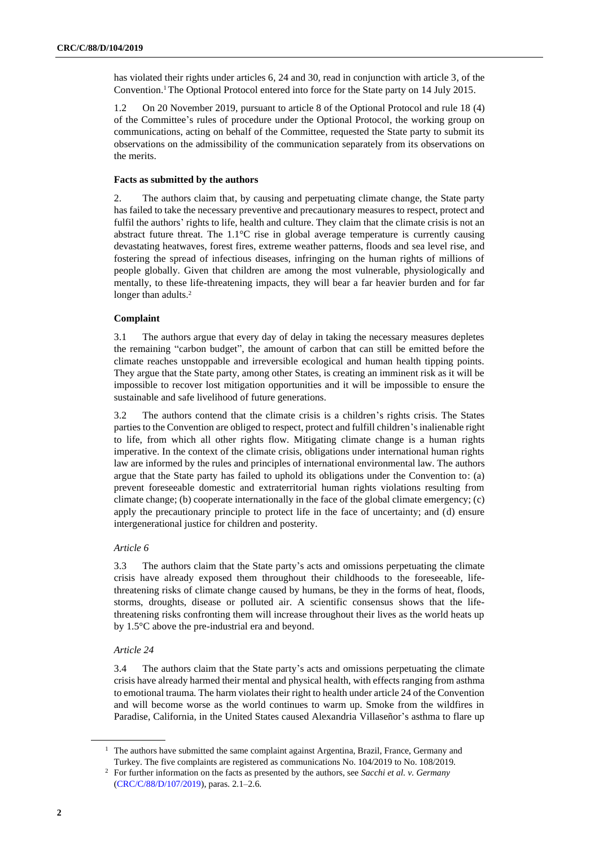has violated their rights under articles 6, 24 and 30, read in conjunction with article 3, of the Convention.<sup>1</sup> The Optional Protocol entered into force for the State party on 14 July 2015.

1.2 On 20 November 2019, pursuant to article 8 of the Optional Protocol and rule 18 (4) of the Committee's rules of procedure under the Optional Protocol, the working group on communications, acting on behalf of the Committee, requested the State party to submit its observations on the admissibility of the communication separately from its observations on the merits.

# **Facts as submitted by the authors**

2. The authors claim that, by causing and perpetuating climate change, the State party has failed to take the necessary preventive and precautionary measures to respect, protect and fulfil the authors' rights to life, health and culture. They claim that the climate crisis is not an abstract future threat. The  $1.1^{\circ}\text{C}$  rise in global average temperature is currently causing devastating heatwaves, forest fires, extreme weather patterns, floods and sea level rise, and fostering the spread of infectious diseases, infringing on the human rights of millions of people globally. Given that children are among the most vulnerable, physiologically and mentally, to these life-threatening impacts, they will bear a far heavier burden and for far longer than adults.<sup>2</sup>

## **Complaint**

3.1 The authors argue that every day of delay in taking the necessary measures depletes the remaining "carbon budget", the amount of carbon that can still be emitted before the climate reaches unstoppable and irreversible ecological and human health tipping points. They argue that the State party, among other States, is creating an imminent risk as it will be impossible to recover lost mitigation opportunities and it will be impossible to ensure the sustainable and safe livelihood of future generations.

3.2 The authors contend that the climate crisis is a children's rights crisis. The States parties to the Convention are obliged to respect, protect and fulfill children's inalienable right to life, from which all other rights flow. Mitigating climate change is a human rights imperative. In the context of the climate crisis, obligations under international human rights law are informed by the rules and principles of international environmental law. The authors argue that the State party has failed to uphold its obligations under the Convention to: (a) prevent foreseeable domestic and extraterritorial human rights violations resulting from climate change; (b) cooperate internationally in the face of the global climate emergency; (c) apply the precautionary principle to protect life in the face of uncertainty; and (d) ensure intergenerational justice for children and posterity.

# *Article 6*

3.3 The authors claim that the State party's acts and omissions perpetuating the climate crisis have already exposed them throughout their childhoods to the foreseeable, lifethreatening risks of climate change caused by humans, be they in the forms of heat, floods, storms, droughts, disease or polluted air. A scientific consensus shows that the lifethreatening risks confronting them will increase throughout their lives as the world heats up by 1.5°C above the pre-industrial era and beyond.

## *Article 24*

3.4 The authors claim that the State party's acts and omissions perpetuating the climate crisis have already harmed their mental and physical health, with effects ranging from asthma to emotional trauma. The harm violates their right to health under article 24 of the Convention and will become worse as the world continues to warm up. Smoke from the wildfires in Paradise, California, in the United States caused Alexandria Villaseñor's asthma to flare up

<sup>&</sup>lt;sup>1</sup> The authors have submitted the same complaint against Argentina, Brazil, France, Germany and Turkey. The five complaints are registered as communications No. 104/2019 to No. 108/2019.

<sup>2</sup> For further information on the facts as presented by the authors, see *Sacchi et al. v. Germany* [\(CRC/C/88/D/107/2019\)](http://undocs.org/en/CRC/C/88/D/107/2019), paras. 2.1–2.6.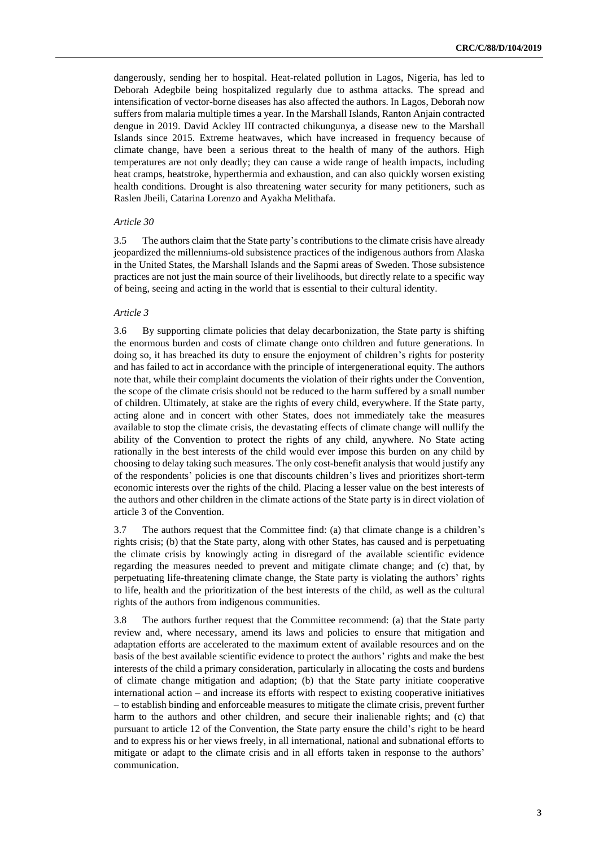dangerously, sending her to hospital. Heat-related pollution in Lagos, Nigeria, has led to Deborah Adegbile being hospitalized regularly due to asthma attacks. The spread and intensification of vector-borne diseases has also affected the authors. In Lagos, Deborah now suffers from malaria multiple times a year. In the Marshall Islands, Ranton Anjain contracted dengue in 2019. David Ackley III contracted chikungunya, a disease new to the Marshall Islands since 2015. Extreme heatwaves, which have increased in frequency because of climate change, have been a serious threat to the health of many of the authors. High temperatures are not only deadly; they can cause a wide range of health impacts, including heat cramps, heatstroke, hyperthermia and exhaustion, and can also quickly worsen existing health conditions. Drought is also threatening water security for many petitioners, such as Raslen Jbeili, Catarina Lorenzo and Ayakha Melithafa.

### *Article 30*

3.5 The authors claim that the State party's contributions to the climate crisis have already jeopardized the millenniums-old subsistence practices of the indigenous authors from Alaska in the United States, the Marshall Islands and the Sapmi areas of Sweden. Those subsistence practices are not just the main source of their livelihoods, but directly relate to a specific way of being, seeing and acting in the world that is essential to their cultural identity.

# *Article 3*

3.6 By supporting climate policies that delay decarbonization, the State party is shifting the enormous burden and costs of climate change onto children and future generations. In doing so, it has breached its duty to ensure the enjoyment of children's rights for posterity and has failed to act in accordance with the principle of intergenerational equity. The authors note that, while their complaint documents the violation of their rights under the Convention, the scope of the climate crisis should not be reduced to the harm suffered by a small number of children. Ultimately, at stake are the rights of every child, everywhere. If the State party, acting alone and in concert with other States, does not immediately take the measures available to stop the climate crisis, the devastating effects of climate change will nullify the ability of the Convention to protect the rights of any child, anywhere. No State acting rationally in the best interests of the child would ever impose this burden on any child by choosing to delay taking such measures. The only cost-benefit analysis that would justify any of the respondents' policies is one that discounts children's lives and prioritizes short-term economic interests over the rights of the child. Placing a lesser value on the best interests of the authors and other children in the climate actions of the State party is in direct violation of article 3 of the Convention.

3.7 The authors request that the Committee find: (a) that climate change is a children's rights crisis; (b) that the State party, along with other States, has caused and is perpetuating the climate crisis by knowingly acting in disregard of the available scientific evidence regarding the measures needed to prevent and mitigate climate change; and (c) that, by perpetuating life-threatening climate change, the State party is violating the authors' rights to life, health and the prioritization of the best interests of the child, as well as the cultural rights of the authors from indigenous communities.

3.8 The authors further request that the Committee recommend: (a) that the State party review and, where necessary, amend its laws and policies to ensure that mitigation and adaptation efforts are accelerated to the maximum extent of available resources and on the basis of the best available scientific evidence to protect the authors' rights and make the best interests of the child a primary consideration, particularly in allocating the costs and burdens of climate change mitigation and adaption; (b) that the State party initiate cooperative international action – and increase its efforts with respect to existing cooperative initiatives – to establish binding and enforceable measures to mitigate the climate crisis, prevent further harm to the authors and other children, and secure their inalienable rights; and (c) that pursuant to article 12 of the Convention, the State party ensure the child's right to be heard and to express his or her views freely, in all international, national and subnational efforts to mitigate or adapt to the climate crisis and in all efforts taken in response to the authors' communication.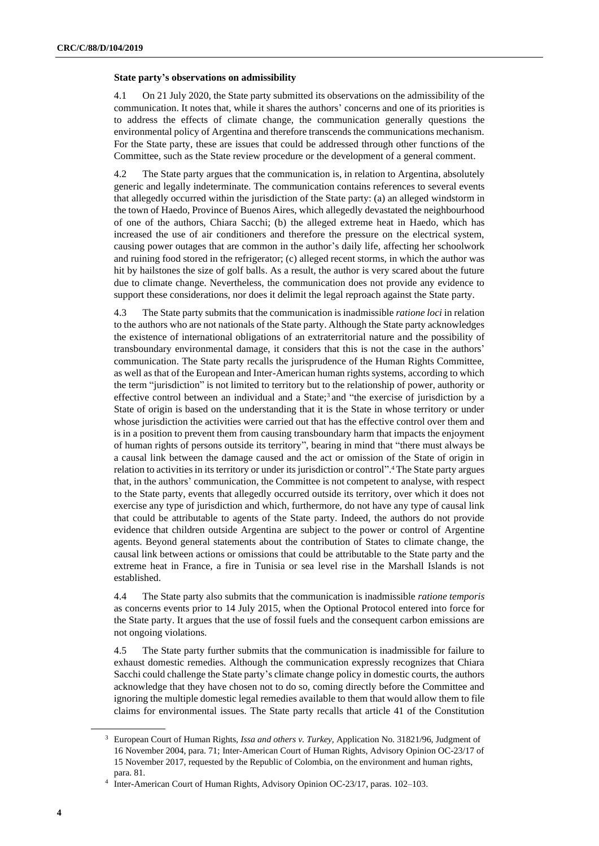### **State party's observations on admissibility**

4.1 On 21 July 2020, the State party submitted its observations on the admissibility of the communication. It notes that, while it shares the authors' concerns and one of its priorities is to address the effects of climate change, the communication generally questions the environmental policy of Argentina and therefore transcends the communications mechanism. For the State party, these are issues that could be addressed through other functions of the Committee, such as the State review procedure or the development of a general comment.

4.2 The State party argues that the communication is, in relation to Argentina, absolutely generic and legally indeterminate. The communication contains references to several events that allegedly occurred within the jurisdiction of the State party: (a) an alleged windstorm in the town of Haedo, Province of Buenos Aires, which allegedly devastated the neighbourhood of one of the authors, Chiara Sacchi; (b) the alleged extreme heat in Haedo, which has increased the use of air conditioners and therefore the pressure on the electrical system, causing power outages that are common in the author's daily life, affecting her schoolwork and ruining food stored in the refrigerator; (c) alleged recent storms, in which the author was hit by hailstones the size of golf balls. As a result, the author is very scared about the future due to climate change. Nevertheless, the communication does not provide any evidence to support these considerations, nor does it delimit the legal reproach against the State party.

4.3 The State party submits that the communication is inadmissible *ratione loci* in relation to the authors who are not nationals of the State party. Although the State party acknowledges the existence of international obligations of an extraterritorial nature and the possibility of transboundary environmental damage, it considers that this is not the case in the authors' communication. The State party recalls the jurisprudence of the Human Rights Committee, as well as that of the European and Inter-American human rights systems, according to which the term "jurisdiction" is not limited to territory but to the relationship of power, authority or effective control between an individual and a State;<sup>3</sup> and "the exercise of jurisdiction by a State of origin is based on the understanding that it is the State in whose territory or under whose jurisdiction the activities were carried out that has the effective control over them and is in a position to prevent them from causing transboundary harm that impacts the enjoyment of human rights of persons outside its territory", bearing in mind that "there must always be a causal link between the damage caused and the act or omission of the State of origin in relation to activities in its territory or under its jurisdiction or control". <sup>4</sup> The State party argues that, in the authors' communication, the Committee is not competent to analyse, with respect to the State party, events that allegedly occurred outside its territory, over which it does not exercise any type of jurisdiction and which, furthermore, do not have any type of causal link that could be attributable to agents of the State party. Indeed, the authors do not provide evidence that children outside Argentina are subject to the power or control of Argentine agents. Beyond general statements about the contribution of States to climate change, the causal link between actions or omissions that could be attributable to the State party and the extreme heat in France, a fire in Tunisia or sea level rise in the Marshall Islands is not established.

4.4 The State party also submits that the communication is inadmissible *ratione temporis* as concerns events prior to 14 July 2015, when the Optional Protocol entered into force for the State party. It argues that the use of fossil fuels and the consequent carbon emissions are not ongoing violations.

4.5 The State party further submits that the communication is inadmissible for failure to exhaust domestic remedies. Although the communication expressly recognizes that Chiara Sacchi could challenge the State party's climate change policy in domestic courts, the authors acknowledge that they have chosen not to do so, coming directly before the Committee and ignoring the multiple domestic legal remedies available to them that would allow them to file claims for environmental issues. The State party recalls that article 41 of the Constitution

<sup>3</sup> European Court of Human Rights, *Issa and others v. Turkey,* Application No. 31821/96, Judgment of 16 November 2004, para. 71; Inter-American Court of Human Rights, Advisory Opinion OC-23/17 of 15 November 2017, requested by the Republic of Colombia, on the environment and human rights, para. 81.

<sup>4</sup> Inter-American Court of Human Rights, Advisory Opinion OC-23/17, paras. 102–103.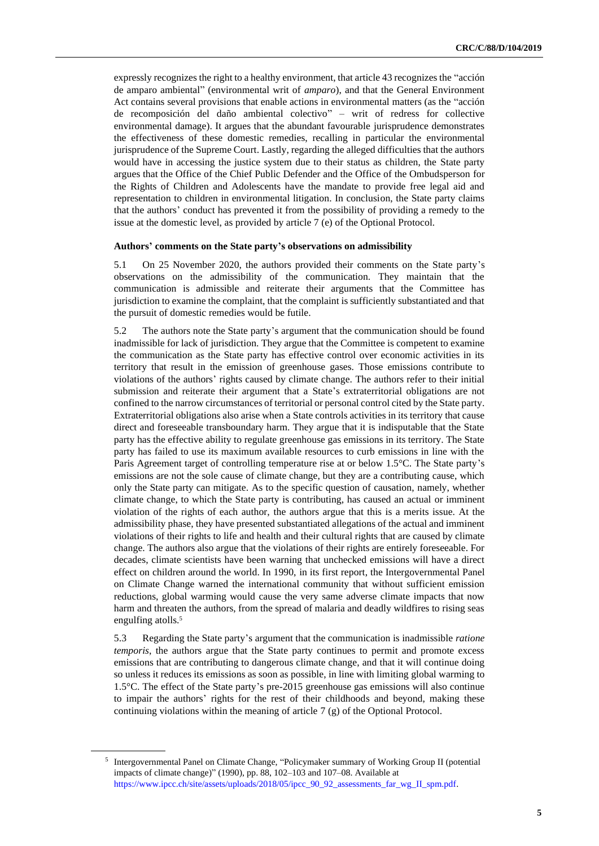expressly recognizes the right to a healthy environment, that article 43 recognizes the "acción de amparo ambiental" (environmental writ of *amparo*), and that the General Environment Act contains several provisions that enable actions in environmental matters (as the "acción de recomposición del daño ambiental colectivo" – writ of redress for collective environmental damage). It argues that the abundant favourable jurisprudence demonstrates the effectiveness of these domestic remedies, recalling in particular the environmental jurisprudence of the Supreme Court. Lastly, regarding the alleged difficulties that the authors would have in accessing the justice system due to their status as children, the State party argues that the Office of the Chief Public Defender and the Office of the Ombudsperson for the Rights of Children and Adolescents have the mandate to provide free legal aid and representation to children in environmental litigation. In conclusion, the State party claims that the authors' conduct has prevented it from the possibility of providing a remedy to the issue at the domestic level, as provided by article 7 (e) of the Optional Protocol.

# **Authors' comments on the State party's observations on admissibility**

5.1 On 25 November 2020, the authors provided their comments on the State party's observations on the admissibility of the communication. They maintain that the communication is admissible and reiterate their arguments that the Committee has jurisdiction to examine the complaint, that the complaint is sufficiently substantiated and that the pursuit of domestic remedies would be futile.

5.2 The authors note the State party's argument that the communication should be found inadmissible for lack of jurisdiction. They argue that the Committee is competent to examine the communication as the State party has effective control over economic activities in its territory that result in the emission of greenhouse gases. Those emissions contribute to violations of the authors' rights caused by climate change. The authors refer to their initial submission and reiterate their argument that a State's extraterritorial obligations are not confined to the narrow circumstances of territorial or personal control cited by the State party. Extraterritorial obligations also arise when a State controls activities in its territory that cause direct and foreseeable transboundary harm. They argue that it is indisputable that the State party has the effective ability to regulate greenhouse gas emissions in its territory. The State party has failed to use its maximum available resources to curb emissions in line with the Paris Agreement target of controlling temperature rise at or below 1.5°C. The State party's emissions are not the sole cause of climate change, but they are a contributing cause, which only the State party can mitigate. As to the specific question of causation, namely, whether climate change, to which the State party is contributing, has caused an actual or imminent violation of the rights of each author, the authors argue that this is a merits issue. At the admissibility phase, they have presented substantiated allegations of the actual and imminent violations of their rights to life and health and their cultural rights that are caused by climate change. The authors also argue that the violations of their rights are entirely foreseeable. For decades, climate scientists have been warning that unchecked emissions will have a direct effect on children around the world. In 1990, in its first report, the Intergovernmental Panel on Climate Change warned the international community that without sufficient emission reductions, global warming would cause the very same adverse climate impacts that now harm and threaten the authors, from the spread of malaria and deadly wildfires to rising seas engulfing atolls.<sup>5</sup>

5.3 Regarding the State party's argument that the communication is inadmissible *ratione temporis*, the authors argue that the State party continues to permit and promote excess emissions that are contributing to dangerous climate change, and that it will continue doing so unless it reduces its emissions as soon as possible, in line with limiting global warming to 1.5°C. The effect of the State party's pre-2015 greenhouse gas emissions will also continue to impair the authors' rights for the rest of their childhoods and beyond, making these continuing violations within the meaning of article 7 (g) of the Optional Protocol.

<sup>5</sup> Intergovernmental Panel on Climate Change, "Policymaker summary of Working Group II (potential impacts of climate change)" (1990), pp. 88, 102–103 and 107–08. Available at [https://www.ipcc.ch/site/assets/uploads/2018/05/ipcc\\_90\\_92\\_assessments\\_far\\_wg\\_II\\_spm.pdf.](https://www.ipcc.ch/site/assets/uploads/2018/05/ipcc_90_92_assessments_far_wg_II_spm.pdf)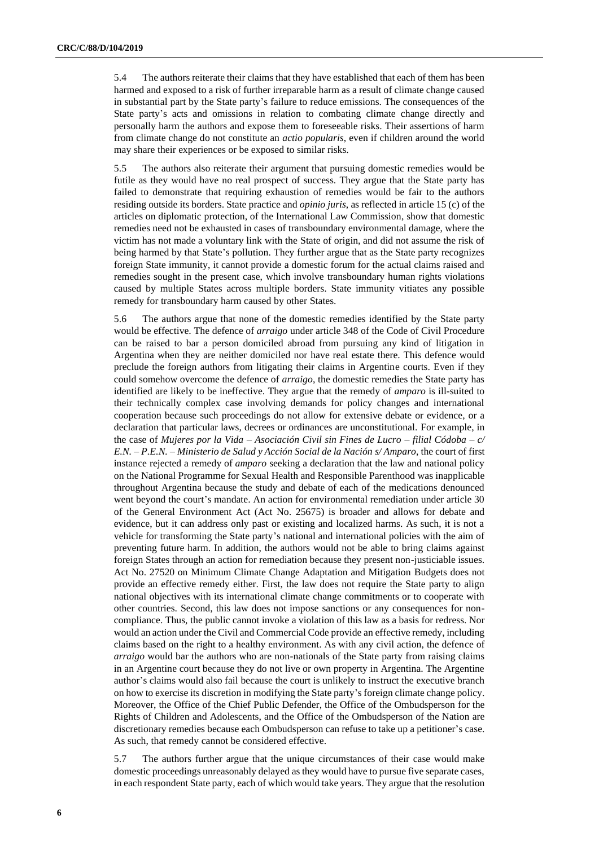5.4 The authors reiterate their claims that they have established that each of them has been harmed and exposed to a risk of further irreparable harm as a result of climate change caused in substantial part by the State party's failure to reduce emissions. The consequences of the State party's acts and omissions in relation to combating climate change directly and personally harm the authors and expose them to foreseeable risks. Their assertions of harm from climate change do not constitute an *actio popularis*, even if children around the world may share their experiences or be exposed to similar risks.

5.5 The authors also reiterate their argument that pursuing domestic remedies would be futile as they would have no real prospect of success. They argue that the State party has failed to demonstrate that requiring exhaustion of remedies would be fair to the authors residing outside its borders. State practice and *opinio juris*, as reflected in article 15 (c) of the articles on diplomatic protection, of the International Law Commission, show that domestic remedies need not be exhausted in cases of transboundary environmental damage, where the victim has not made a voluntary link with the State of origin, and did not assume the risk of being harmed by that State's pollution. They further argue that as the State party recognizes foreign State immunity, it cannot provide a domestic forum for the actual claims raised and remedies sought in the present case, which involve transboundary human rights violations caused by multiple States across multiple borders. State immunity vitiates any possible remedy for transboundary harm caused by other States.

5.6 The authors argue that none of the domestic remedies identified by the State party would be effective. The defence of *arraigo* under article 348 of the Code of Civil Procedure can be raised to bar a person domiciled abroad from pursuing any kind of litigation in Argentina when they are neither domiciled nor have real estate there. This defence would preclude the foreign authors from litigating their claims in Argentine courts. Even if they could somehow overcome the defence of *arraigo*, the domestic remedies the State party has identified are likely to be ineffective. They argue that the remedy of *amparo* is ill-suited to their technically complex case involving demands for policy changes and international cooperation because such proceedings do not allow for extensive debate or evidence, or a declaration that particular laws, decrees or ordinances are unconstitutional. For example, in the case of *Mujeres por la Vida – Asociación Civil sin Fines de Lucro – filial Códoba – c/ E.N. – P.E.N. – Ministerio de Salud y Acción Social de la Nación s/ Amparo*, the court of first instance rejected a remedy of *amparo* seeking a declaration that the law and national policy on the National Programme for Sexual Health and Responsible Parenthood was inapplicable throughout Argentina because the study and debate of each of the medications denounced went beyond the court's mandate. An action for environmental remediation under article 30 of the General Environment Act (Act No. 25675) is broader and allows for debate and evidence, but it can address only past or existing and localized harms. As such, it is not a vehicle for transforming the State party's national and international policies with the aim of preventing future harm. In addition, the authors would not be able to bring claims against foreign States through an action for remediation because they present non-justiciable issues. Act No. 27520 on Minimum Climate Change Adaptation and Mitigation Budgets does not provide an effective remedy either. First, the law does not require the State party to align national objectives with its international climate change commitments or to cooperate with other countries. Second, this law does not impose sanctions or any consequences for noncompliance. Thus, the public cannot invoke a violation of this law as a basis for redress. Nor would an action under the Civil and Commercial Code provide an effective remedy, including claims based on the right to a healthy environment. As with any civil action, the defence of *arraigo* would bar the authors who are non-nationals of the State party from raising claims in an Argentine court because they do not live or own property in Argentina. The Argentine author's claims would also fail because the court is unlikely to instruct the executive branch on how to exercise its discretion in modifying the State party's foreign climate change policy. Moreover, the Office of the Chief Public Defender, the Office of the Ombudsperson for the Rights of Children and Adolescents, and the Office of the Ombudsperson of the Nation are discretionary remedies because each Ombudsperson can refuse to take up a petitioner's case. As such, that remedy cannot be considered effective.

5.7 The authors further argue that the unique circumstances of their case would make domestic proceedings unreasonably delayed as they would have to pursue five separate cases, in each respondent State party, each of which would take years. They argue that the resolution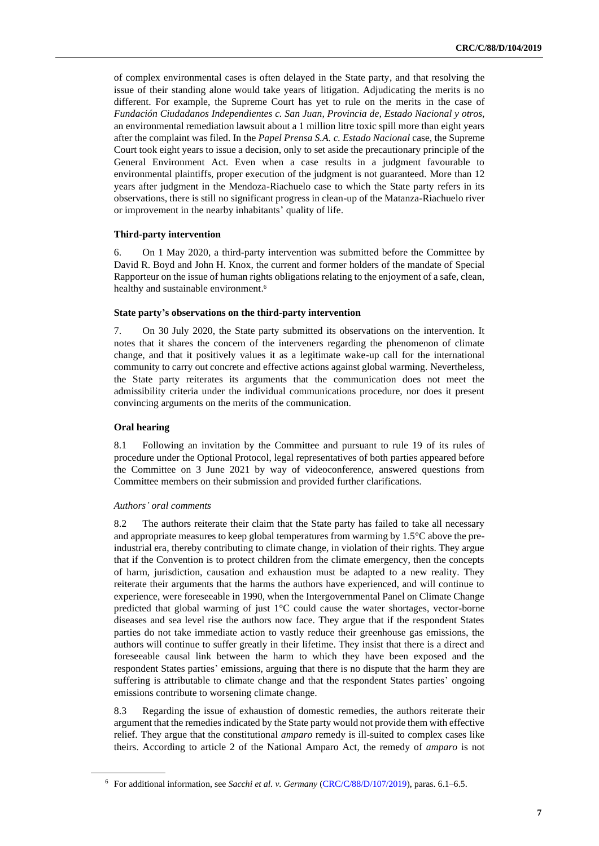of complex environmental cases is often delayed in the State party, and that resolving the issue of their standing alone would take years of litigation. Adjudicating the merits is no different. For example, the Supreme Court has yet to rule on the merits in the case of *Fundación Ciudadanos Independientes c. San Juan, Provincia de, Estado Nacional y otros*, an environmental remediation lawsuit about a 1 million litre toxic spill more than eight years after the complaint was filed. In the *Papel Prensa S.A. c. Estado Nacional* case, the Supreme Court took eight years to issue a decision, only to set aside the precautionary principle of the General Environment Act. Even when a case results in a judgment favourable to environmental plaintiffs, proper execution of the judgment is not guaranteed. More than 12 years after judgment in the Mendoza-Riachuelo case to which the State party refers in its observations, there is still no significant progress in clean-up of the Matanza-Riachuelo river or improvement in the nearby inhabitants' quality of life.

# **Third-party intervention**

6. On 1 May 2020, a third-party intervention was submitted before the Committee by David R. Boyd and John H. Knox, the current and former holders of the mandate of Special Rapporteur on the issue of human rights obligations relating to the enjoyment of a safe, clean, healthy and sustainable environment. 6

# **State party's observations on the third-party intervention**

7. On 30 July 2020, the State party submitted its observations on the intervention. It notes that it shares the concern of the interveners regarding the phenomenon of climate change, and that it positively values it as a legitimate wake-up call for the international community to carry out concrete and effective actions against global warming. Nevertheless, the State party reiterates its arguments that the communication does not meet the admissibility criteria under the individual communications procedure, nor does it present convincing arguments on the merits of the communication.

# **Oral hearing**

8.1 Following an invitation by the Committee and pursuant to rule 19 of its rules of procedure under the Optional Protocol, legal representatives of both parties appeared before the Committee on 3 June 2021 by way of videoconference, answered questions from Committee members on their submission and provided further clarifications.

### *Authors' oral comments*

8.2 The authors reiterate their claim that the State party has failed to take all necessary and appropriate measures to keep global temperatures from warming by 1.5°C above the preindustrial era, thereby contributing to climate change, in violation of their rights. They argue that if the Convention is to protect children from the climate emergency, then the concepts of harm, jurisdiction, causation and exhaustion must be adapted to a new reality. They reiterate their arguments that the harms the authors have experienced, and will continue to experience, were foreseeable in 1990, when the Intergovernmental Panel on Climate Change predicted that global warming of just 1°C could cause the water shortages, vector-borne diseases and sea level rise the authors now face. They argue that if the respondent States parties do not take immediate action to vastly reduce their greenhouse gas emissions, the authors will continue to suffer greatly in their lifetime. They insist that there is a direct and foreseeable causal link between the harm to which they have been exposed and the respondent States parties' emissions, arguing that there is no dispute that the harm they are suffering is attributable to climate change and that the respondent States parties' ongoing emissions contribute to worsening climate change.

8.3 Regarding the issue of exhaustion of domestic remedies, the authors reiterate their argument that the remedies indicated by the State party would not provide them with effective relief. They argue that the constitutional *amparo* remedy is ill-suited to complex cases like theirs. According to article 2 of the National Amparo Act, the remedy of *amparo* is not

<sup>6</sup> For additional information, see *Sacchi et al. v. Germany* [\(CRC/C/88/D/107/2019\)](http://undocs.org/en/CRC/C/88/D/107/2019), paras. 6.1–6.5.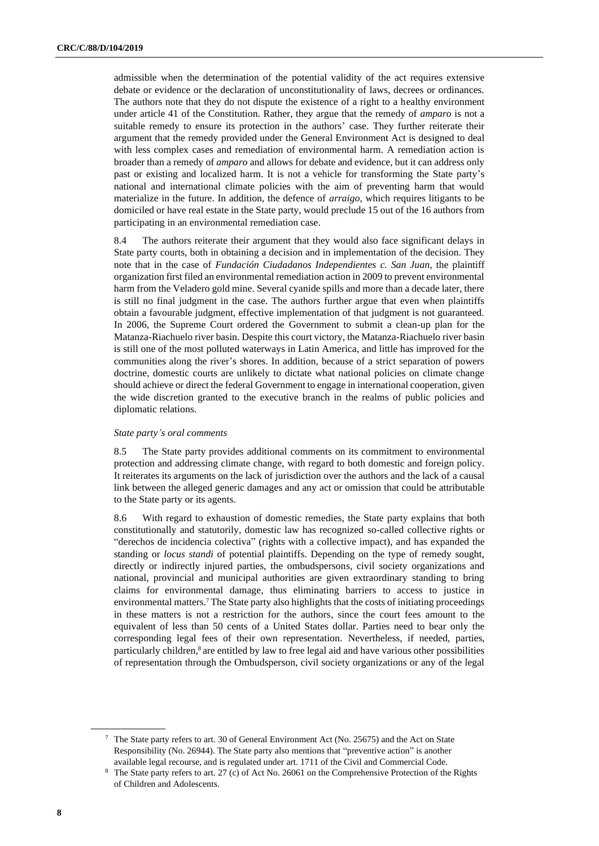admissible when the determination of the potential validity of the act requires extensive debate or evidence or the declaration of unconstitutionality of laws, decrees or ordinances. The authors note that they do not dispute the existence of a right to a healthy environment under article 41 of the Constitution. Rather, they argue that the remedy of *amparo* is not a suitable remedy to ensure its protection in the authors' case. They further reiterate their argument that the remedy provided under the General Environment Act is designed to deal with less complex cases and remediation of environmental harm. A remediation action is broader than a remedy of *amparo* and allows for debate and evidence, but it can address only past or existing and localized harm. It is not a vehicle for transforming the State party's national and international climate policies with the aim of preventing harm that would materialize in the future. In addition, the defence of *arraigo*, which requires litigants to be domiciled or have real estate in the State party, would preclude 15 out of the 16 authors from participating in an environmental remediation case.

8.4 The authors reiterate their argument that they would also face significant delays in State party courts, both in obtaining a decision and in implementation of the decision. They note that in the case of *Fundación Ciudadanos Independientes c. San Juan*, the plaintiff organization first filed an environmental remediation action in 2009 to prevent environmental harm from the Veladero gold mine. Several cyanide spills and more than a decade later, there is still no final judgment in the case. The authors further argue that even when plaintiffs obtain a favourable judgment, effective implementation of that judgment is not guaranteed. In 2006, the Supreme Court ordered the Government to submit a clean-up plan for the Matanza-Riachuelo river basin. Despite this court victory, the Matanza-Riachuelo river basin is still one of the most polluted waterways in Latin America, and little has improved for the communities along the river's shores. In addition, because of a strict separation of powers doctrine, domestic courts are unlikely to dictate what national policies on climate change should achieve or direct the federal Government to engage in international cooperation, given the wide discretion granted to the executive branch in the realms of public policies and diplomatic relations.

# *State party's oral comments*

8.5 The State party provides additional comments on its commitment to environmental protection and addressing climate change, with regard to both domestic and foreign policy. It reiterates its arguments on the lack of jurisdiction over the authors and the lack of a causal link between the alleged generic damages and any act or omission that could be attributable to the State party or its agents.

8.6 With regard to exhaustion of domestic remedies, the State party explains that both constitutionally and statutorily, domestic law has recognized so-called collective rights or "derechos de incidencia colectiva" (rights with a collective impact), and has expanded the standing or *locus standi* of potential plaintiffs. Depending on the type of remedy sought, directly or indirectly injured parties, the ombudspersons, civil society organizations and national, provincial and municipal authorities are given extraordinary standing to bring claims for environmental damage, thus eliminating barriers to access to justice in environmental matters.<sup>7</sup> The State party also highlights that the costs of initiating proceedings in these matters is not a restriction for the authors, since the court fees amount to the equivalent of less than 50 cents of a United States dollar. Parties need to bear only the corresponding legal fees of their own representation. Nevertheless, if needed, parties, particularly children,<sup>8</sup> are entitled by law to free legal aid and have various other possibilities of representation through the Ombudsperson, civil society organizations or any of the legal

<sup>7</sup> The State party refers to art. 30 of General Environment Act (No. 25675) and the Act on State Responsibility (No. 26944). The State party also mentions that "preventive action" is another available legal recourse, and is regulated under art. 1711 of the Civil and Commercial Code.

<sup>8</sup> The State party refers to art. 27 (c) of Act No. 26061 on the Comprehensive Protection of the Rights of Children and Adolescents.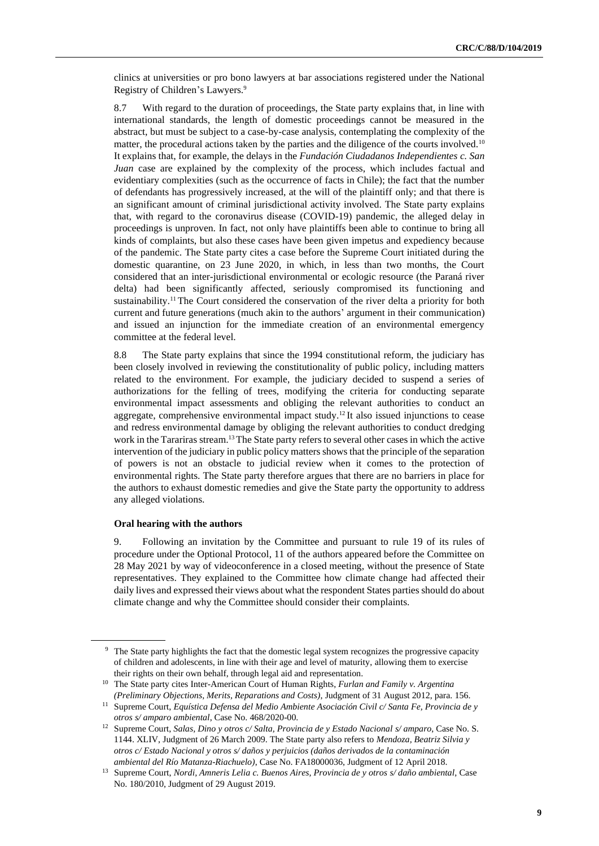clinics at universities or pro bono lawyers at bar associations registered under the National Registry of Children's Lawyers.<sup>9</sup>

8.7 With regard to the duration of proceedings, the State party explains that, in line with international standards, the length of domestic proceedings cannot be measured in the abstract, but must be subject to a case-by-case analysis, contemplating the complexity of the matter, the procedural actions taken by the parties and the diligence of the courts involved.<sup>10</sup> It explains that, for example, the delays in the *Fundación Ciudadanos Independientes c. San Juan* case are explained by the complexity of the process, which includes factual and evidentiary complexities (such as the occurrence of facts in Chile); the fact that the number of defendants has progressively increased, at the will of the plaintiff only; and that there is an significant amount of criminal jurisdictional activity involved. The State party explains that, with regard to the coronavirus disease (COVID-19) pandemic, the alleged delay in proceedings is unproven. In fact, not only have plaintiffs been able to continue to bring all kinds of complaints, but also these cases have been given impetus and expediency because of the pandemic. The State party cites a case before the Supreme Court initiated during the domestic quarantine, on 23 June 2020, in which, in less than two months, the Court considered that an inter-jurisdictional environmental or ecologic resource (the Paraná river delta) had been significantly affected, seriously compromised its functioning and sustainability.<sup>11</sup> The Court considered the conservation of the river delta a priority for both current and future generations (much akin to the authors' argument in their communication) and issued an injunction for the immediate creation of an environmental emergency committee at the federal level.

8.8 The State party explains that since the 1994 constitutional reform, the judiciary has been closely involved in reviewing the constitutionality of public policy, including matters related to the environment. For example, the judiciary decided to suspend a series of authorizations for the felling of trees, modifying the criteria for conducting separate environmental impact assessments and obliging the relevant authorities to conduct an aggregate, comprehensive environmental impact study.<sup>12</sup> It also issued injunctions to cease and redress environmental damage by obliging the relevant authorities to conduct dredging work in the Tarariras stream.<sup>13</sup> The State party refers to several other cases in which the active intervention of the judiciary in public policy matters shows that the principle of the separation of powers is not an obstacle to judicial review when it comes to the protection of environmental rights. The State party therefore argues that there are no barriers in place for the authors to exhaust domestic remedies and give the State party the opportunity to address any alleged violations.

# **Oral hearing with the authors**

9. Following an invitation by the Committee and pursuant to rule 19 of its rules of procedure under the Optional Protocol, 11 of the authors appeared before the Committee on 28 May 2021 by way of videoconference in a closed meeting, without the presence of State representatives. They explained to the Committee how climate change had affected their daily lives and expressed their views about what the respondent States parties should do about climate change and why the Committee should consider their complaints.

<sup>&</sup>lt;sup>9</sup> The State party highlights the fact that the domestic legal system recognizes the progressive capacity of children and adolescents, in line with their age and level of maturity, allowing them to exercise their rights on their own behalf, through legal aid and representation.

<sup>10</sup> The State party cites Inter-American Court of Human Rights, *Furlan and Family v. Argentina (Preliminary Objections, Merits, Reparations and Costs)*, Judgment of 31 August 2012, para. 156.

<sup>11</sup> Supreme Court, *Equística Defensa del Medio Ambiente Asociación Civil c/ Santa Fe, Provincia de y otros s/ amparo ambiental*, Case No. 468/2020-00.

<sup>12</sup> Supreme Court, *Salas, Dino y otros c/ Salta, Provincia de y Estado Nacional s/ amparo*, Case No. S. 1144. XLIV, Judgment of 26 March 2009. The State party also refers to *Mendoza, Beatriz Silvia y otros c/ Estado Nacional y otros s/ daños y perjuicios (daños derivados de la contaminación ambiental del Río Matanza-Riachuelo)*, Case No. FA18000036, Judgment of 12 April 2018.

<sup>13</sup> Supreme Court, *Nordi, Amneris Lelia c. Buenos Aires, Provincia de y otros s/ daño ambiental*, Case No. 180/2010, Judgment of 29 August 2019.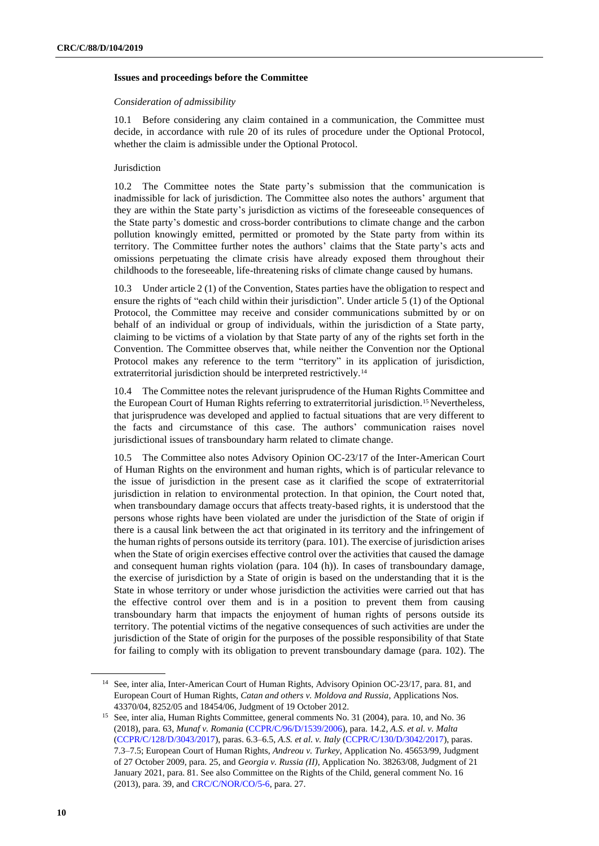# **Issues and proceedings before the Committee**

#### *Consideration of admissibility*

10.1 Before considering any claim contained in a communication, the Committee must decide, in accordance with rule 20 of its rules of procedure under the Optional Protocol, whether the claim is admissible under the Optional Protocol.

# Jurisdiction

10.2 The Committee notes the State party's submission that the communication is inadmissible for lack of jurisdiction. The Committee also notes the authors' argument that they are within the State party's jurisdiction as victims of the foreseeable consequences of the State party's domestic and cross-border contributions to climate change and the carbon pollution knowingly emitted, permitted or promoted by the State party from within its territory. The Committee further notes the authors' claims that the State party's acts and omissions perpetuating the climate crisis have already exposed them throughout their childhoods to the foreseeable, life-threatening risks of climate change caused by humans.

10.3 Under article 2 (1) of the Convention, States parties have the obligation to respect and ensure the rights of "each child within their jurisdiction". Under article 5 (1) of the Optional Protocol, the Committee may receive and consider communications submitted by or on behalf of an individual or group of individuals, within the jurisdiction of a State party, claiming to be victims of a violation by that State party of any of the rights set forth in the Convention. The Committee observes that, while neither the Convention nor the Optional Protocol makes any reference to the term "territory" in its application of jurisdiction, extraterritorial jurisdiction should be interpreted restrictively.<sup>14</sup>

10.4 The Committee notes the relevant jurisprudence of the Human Rights Committee and the European Court of Human Rights referring to extraterritorial jurisdiction.<sup>15</sup> Nevertheless, that jurisprudence was developed and applied to factual situations that are very different to the facts and circumstance of this case. The authors' communication raises novel jurisdictional issues of transboundary harm related to climate change.

10.5 The Committee also notes Advisory Opinion OC-23/17 of the Inter-American Court of Human Rights on the environment and human rights, which is of particular relevance to the issue of jurisdiction in the present case as it clarified the scope of extraterritorial jurisdiction in relation to environmental protection. In that opinion, the Court noted that, when transboundary damage occurs that affects treaty-based rights, it is understood that the persons whose rights have been violated are under the jurisdiction of the State of origin if there is a causal link between the act that originated in its territory and the infringement of the human rights of persons outside its territory (para. 101). The exercise of jurisdiction arises when the State of origin exercises effective control over the activities that caused the damage and consequent human rights violation (para. 104 (h)). In cases of transboundary damage, the exercise of jurisdiction by a State of origin is based on the understanding that it is the State in whose territory or under whose jurisdiction the activities were carried out that has the effective control over them and is in a position to prevent them from causing transboundary harm that impacts the enjoyment of human rights of persons outside its territory. The potential victims of the negative consequences of such activities are under the jurisdiction of the State of origin for the purposes of the possible responsibility of that State for failing to comply with its obligation to prevent transboundary damage (para. 102). The

<sup>&</sup>lt;sup>14</sup> See, inter alia, Inter-American Court of Human Rights, Advisory Opinion OC-23/17, para. 81, and European Court of Human Rights, *Catan and others v. Moldova and Russia*, Applications Nos. 43370/04, 8252/05 and 18454/06, Judgment of 19 October 2012.

<sup>&</sup>lt;sup>15</sup> See, inter alia, Human Rights Committee, general comments No. 31 (2004), para. 10, and No. 36 (2018), para. 63, *Munaf v. Romania* [\(CCPR/C/96/D/1539/2006\)](http://undocs.org/en/CCPR/C/96/D/1539/2006), para. 14.2, *A.S. et al. v. Malta* [\(CCPR/C/128/D/3043/2017\)](https://tbinternet.ohchr.org/_layouts/15/treatybodyexternal/Download.aspx?symbolno=CCPR%2fC%2f128%2fD%2f3043%2f2017&Lang=en), paras. 6.3–6.5, *A.S. et al. v. Italy* [\(CCPR/C/130/D/3042/2017\)](https://tbinternet.ohchr.org/_layouts/15/treatybodyexternal/Download.aspx?symbolno=CCPR/C/130/DR/3042/2017&Lang=en), paras. 7.3–7.5; European Court of Human Rights, *Andreou v. Turkey*, Application No. 45653/99, Judgment of 27 October 2009, para. 25, and *Georgia v. Russia (II)*, Application No. 38263/08, Judgment of 21 January 2021, para. 81. See also Committee on the Rights of the Child, general comment No. 16 (2013), para. 39, an[d CRC/C/NOR/CO/5-6,](http://undocs.org/en/CRC/C/NOR/CO/5-6) para. 27.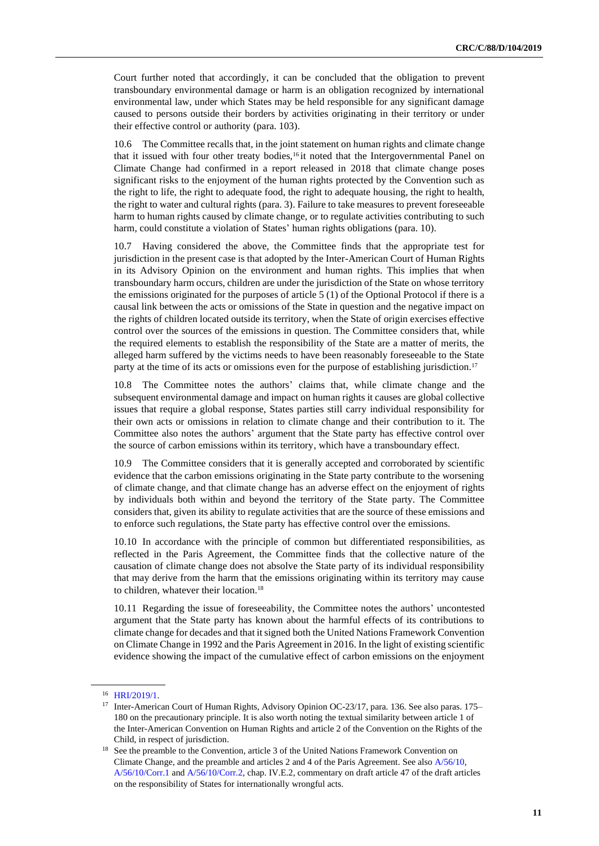Court further noted that accordingly, it can be concluded that the obligation to prevent transboundary environmental damage or harm is an obligation recognized by international environmental law, under which States may be held responsible for any significant damage caused to persons outside their borders by activities originating in their territory or under their effective control or authority (para. 103).

10.6 The Committee recalls that, in the joint statement on human rights and climate change that it issued with four other treaty bodies,<sup>16</sup> it noted that the Intergovernmental Panel on Climate Change had confirmed in a report released in 2018 that climate change poses significant risks to the enjoyment of the human rights protected by the Convention such as the right to life, the right to adequate food, the right to adequate housing, the right to health, the right to water and cultural rights (para. 3). Failure to take measures to prevent foreseeable harm to human rights caused by climate change, or to regulate activities contributing to such harm, could constitute a violation of States' human rights obligations (para. 10).

10.7 Having considered the above, the Committee finds that the appropriate test for jurisdiction in the present case is that adopted by the Inter-American Court of Human Rights in its Advisory Opinion on the environment and human rights. This implies that when transboundary harm occurs, children are under the jurisdiction of the State on whose territory the emissions originated for the purposes of article 5 (1) of the Optional Protocol if there is a causal link between the acts or omissions of the State in question and the negative impact on the rights of children located outside its territory, when the State of origin exercises effective control over the sources of the emissions in question. The Committee considers that, while the required elements to establish the responsibility of the State are a matter of merits, the alleged harm suffered by the victims needs to have been reasonably foreseeable to the State party at the time of its acts or omissions even for the purpose of establishing jurisdiction.<sup>17</sup>

10.8 The Committee notes the authors' claims that, while climate change and the subsequent environmental damage and impact on human rights it causes are global collective issues that require a global response, States parties still carry individual responsibility for their own acts or omissions in relation to climate change and their contribution to it. The Committee also notes the authors' argument that the State party has effective control over the source of carbon emissions within its territory, which have a transboundary effect.

10.9 The Committee considers that it is generally accepted and corroborated by scientific evidence that the carbon emissions originating in the State party contribute to the worsening of climate change, and that climate change has an adverse effect on the enjoyment of rights by individuals both within and beyond the territory of the State party. The Committee considers that, given its ability to regulate activities that are the source of these emissions and to enforce such regulations, the State party has effective control over the emissions.

10.10 In accordance with the principle of common but differentiated responsibilities, as reflected in the Paris Agreement, the Committee finds that the collective nature of the causation of climate change does not absolve the State party of its individual responsibility that may derive from the harm that the emissions originating within its territory may cause to children, whatever their location.<sup>18</sup>

10.11 Regarding the issue of foreseeability, the Committee notes the authors' uncontested argument that the State party has known about the harmful effects of its contributions to climate change for decades and that it signed both the United Nations Framework Convention on Climate Change in 1992 and the Paris Agreement in 2016. In the light of existing scientific evidence showing the impact of the cumulative effect of carbon emissions on the enjoyment

<sup>16</sup> [HRI/2019/1.](http://undocs.org/en/HRI/2019/1)

<sup>&</sup>lt;sup>17</sup> Inter-American Court of Human Rights, Advisory Opinion OC-23/17, para. 136. See also paras. 175– 180 on the precautionary principle. It is also worth noting the textual similarity between article 1 of the Inter-American Convention on Human Rights and article 2 of the Convention on the Rights of the Child, in respect of jurisdiction.

<sup>&</sup>lt;sup>18</sup> See the preamble to the Convention, article 3 of the United Nations Framework Convention on Climate Change, and the preamble and articles 2 and 4 of the Paris Agreement. See also [A/56/10,](http://undocs.org/en/A/56/10(SUPP)) [A/56/10/Corr.1](https://documents-dds-ny.un.org/doc/UNDOC/GEN/N01/599/13/pdf/N0159913.pdf?OpenElement) and [A/56/10/Corr.2,](https://documents-dds-ny.un.org/doc/UNDOC/GEN/N01/640/10/pdf/N0164010.pdf?OpenElement) chap. IV.E.2, commentary on draft article 47 of the draft articles on the responsibility of States for internationally wrongful acts.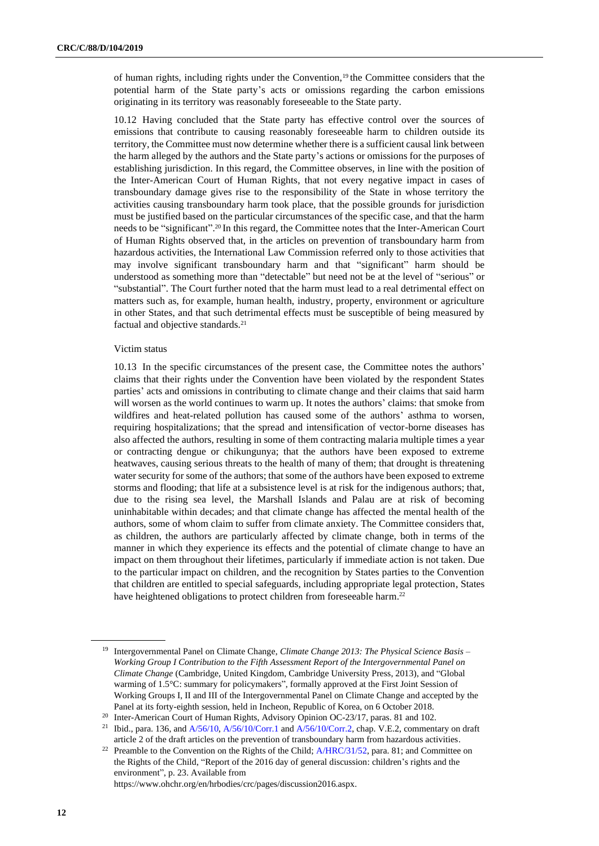of human rights, including rights under the Convention,<sup>19</sup> the Committee considers that the potential harm of the State party's acts or omissions regarding the carbon emissions originating in its territory was reasonably foreseeable to the State party.

10.12 Having concluded that the State party has effective control over the sources of emissions that contribute to causing reasonably foreseeable harm to children outside its territory, the Committee must now determine whether there is a sufficient causal link between the harm alleged by the authors and the State party's actions or omissions for the purposes of establishing jurisdiction. In this regard, the Committee observes, in line with the position of the Inter-American Court of Human Rights, that not every negative impact in cases of transboundary damage gives rise to the responsibility of the State in whose territory the activities causing transboundary harm took place, that the possible grounds for jurisdiction must be justified based on the particular circumstances of the specific case, and that the harm needs to be "significant". <sup>20</sup> In this regard, the Committee notes that the Inter-American Court of Human Rights observed that, in the articles on prevention of transboundary harm from hazardous activities, the International Law Commission referred only to those activities that may involve significant transboundary harm and that "significant" harm should be understood as something more than "detectable" but need not be at the level of "serious" or "substantial". The Court further noted that the harm must lead to a real detrimental effect on matters such as, for example, human health, industry, property, environment or agriculture in other States, and that such detrimental effects must be susceptible of being measured by factual and objective standards.<sup>21</sup>

# Victim status

10.13 In the specific circumstances of the present case, the Committee notes the authors' claims that their rights under the Convention have been violated by the respondent States parties' acts and omissions in contributing to climate change and their claims that said harm will worsen as the world continues to warm up. It notes the authors' claims: that smoke from wildfires and heat-related pollution has caused some of the authors' asthma to worsen, requiring hospitalizations; that the spread and intensification of vector-borne diseases has also affected the authors, resulting in some of them contracting malaria multiple times a year or contracting dengue or chikungunya; that the authors have been exposed to extreme heatwaves, causing serious threats to the health of many of them; that drought is threatening water security for some of the authors; that some of the authors have been exposed to extreme storms and flooding; that life at a subsistence level is at risk for the indigenous authors; that, due to the rising sea level, the Marshall Islands and Palau are at risk of becoming uninhabitable within decades; and that climate change has affected the mental health of the authors, some of whom claim to suffer from climate anxiety. The Committee considers that, as children, the authors are particularly affected by climate change, both in terms of the manner in which they experience its effects and the potential of climate change to have an impact on them throughout their lifetimes, particularly if immediate action is not taken. Due to the particular impact on children, and the recognition by States parties to the Convention that children are entitled to special safeguards, including appropriate legal protection, States have heightened obligations to protect children from foreseeable harm.<sup>22</sup>

https://www.ohchr.org/en/hrbodies/crc/pages/discussion2016.aspx.

<sup>19</sup> Intergovernmental Panel on Climate Change, *Climate Change 2013: The Physical Science Basis – Working Group I Contribution to the Fifth Assessment Report of the Intergovernmental Panel on Climate Change* (Cambridge, United Kingdom, Cambridge University Press, 2013), and "Global warming of 1.5°C: summary for policymakers", formally approved at the First Joint Session of Working Groups I, II and III of the Intergovernmental Panel on Climate Change and accepted by the Panel at its forty-eighth session, held in Incheon, Republic of Korea, on 6 October 2018.

<sup>&</sup>lt;sup>20</sup> Inter-American Court of Human Rights, Advisory Opinion OC-23/17, paras. 81 and 102.

<sup>&</sup>lt;sup>21</sup> Ibid., para. 136, and [A/56/10,](http://undocs.org/en/A/56/10(SUPP)) [A/56/10/Corr.1](https://documents-dds-ny.un.org/doc/UNDOC/GEN/N01/599/13/pdf/N0159913.pdf?OpenElement) an[d A/56/10/Corr.2,](https://documents-dds-ny.un.org/doc/UNDOC/GEN/N01/640/10/pdf/N0164010.pdf?OpenElement) chap. V.E.2, commentary on draft article 2 of the draft articles on the prevention of transboundary harm from hazardous activities.

<sup>&</sup>lt;sup>22</sup> Preamble to the Convention on the Rights of the Child;  $A/HRC/31/52$ , para. 81; and Committee on the Rights of the Child, "Report of the 2016 day of general discussion: children's rights and the environment", p. 23. Available from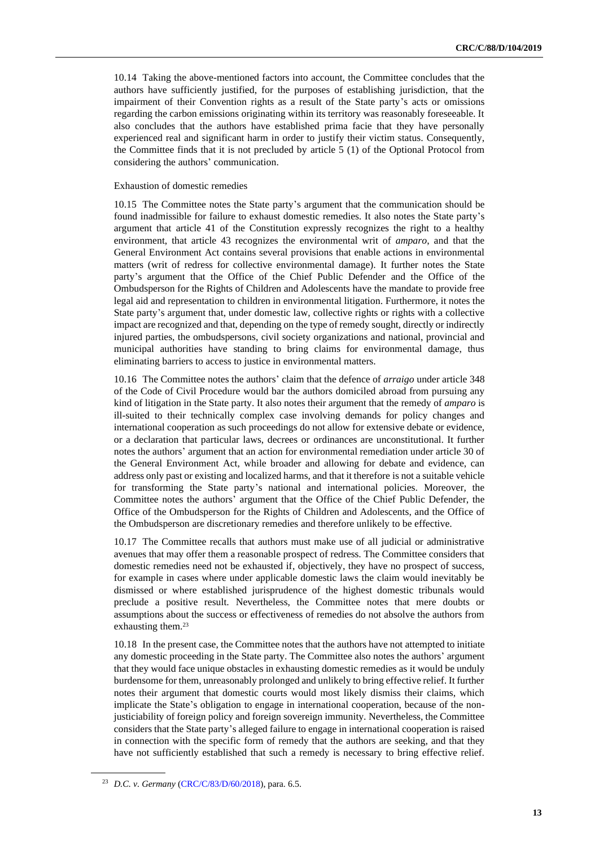10.14 Taking the above-mentioned factors into account, the Committee concludes that the authors have sufficiently justified, for the purposes of establishing jurisdiction, that the impairment of their Convention rights as a result of the State party's acts or omissions regarding the carbon emissions originating within its territory was reasonably foreseeable. It also concludes that the authors have established prima facie that they have personally experienced real and significant harm in order to justify their victim status. Consequently, the Committee finds that it is not precluded by article 5 (1) of the Optional Protocol from considering the authors' communication.

# Exhaustion of domestic remedies

10.15 The Committee notes the State party's argument that the communication should be found inadmissible for failure to exhaust domestic remedies. It also notes the State party's argument that article 41 of the Constitution expressly recognizes the right to a healthy environment, that article 43 recognizes the environmental writ of *amparo*, and that the General Environment Act contains several provisions that enable actions in environmental matters (writ of redress for collective environmental damage). It further notes the State party's argument that the Office of the Chief Public Defender and the Office of the Ombudsperson for the Rights of Children and Adolescents have the mandate to provide free legal aid and representation to children in environmental litigation. Furthermore, it notes the State party's argument that, under domestic law, collective rights or rights with a collective impact are recognized and that, depending on the type of remedy sought, directly or indirectly injured parties, the ombudspersons, civil society organizations and national, provincial and municipal authorities have standing to bring claims for environmental damage, thus eliminating barriers to access to justice in environmental matters.

10.16 The Committee notes the authors' claim that the defence of *arraigo* under article 348 of the Code of Civil Procedure would bar the authors domiciled abroad from pursuing any kind of litigation in the State party. It also notes their argument that the remedy of *amparo* is ill-suited to their technically complex case involving demands for policy changes and international cooperation as such proceedings do not allow for extensive debate or evidence, or a declaration that particular laws, decrees or ordinances are unconstitutional. It further notes the authors' argument that an action for environmental remediation under article 30 of the General Environment Act, while broader and allowing for debate and evidence, can address only past or existing and localized harms, and that it therefore is not a suitable vehicle for transforming the State party's national and international policies. Moreover, the Committee notes the authors' argument that the Office of the Chief Public Defender, the Office of the Ombudsperson for the Rights of Children and Adolescents, and the Office of the Ombudsperson are discretionary remedies and therefore unlikely to be effective.

10.17 The Committee recalls that authors must make use of all judicial or administrative avenues that may offer them a reasonable prospect of redress. The Committee considers that domestic remedies need not be exhausted if, objectively, they have no prospect of success, for example in cases where under applicable domestic laws the claim would inevitably be dismissed or where established jurisprudence of the highest domestic tribunals would preclude a positive result. Nevertheless, the Committee notes that mere doubts or assumptions about the success or effectiveness of remedies do not absolve the authors from exhausting them.<sup>23</sup>

10.18 In the present case, the Committee notes that the authors have not attempted to initiate any domestic proceeding in the State party. The Committee also notes the authors' argument that they would face unique obstacles in exhausting domestic remedies as it would be unduly burdensome for them, unreasonably prolonged and unlikely to bring effective relief. It further notes their argument that domestic courts would most likely dismiss their claims, which implicate the State's obligation to engage in international cooperation, because of the nonjusticiability of foreign policy and foreign sovereign immunity. Nevertheless, the Committee considers that the State party's alleged failure to engage in international cooperation is raised in connection with the specific form of remedy that the authors are seeking, and that they have not sufficiently established that such a remedy is necessary to bring effective relief.

<sup>23</sup> *D.C. v. Germany* [\(CRC/C/83/D/60/2018\)](http://undocs.org/en/CRC/C/83/D/60/2018), para. 6.5.